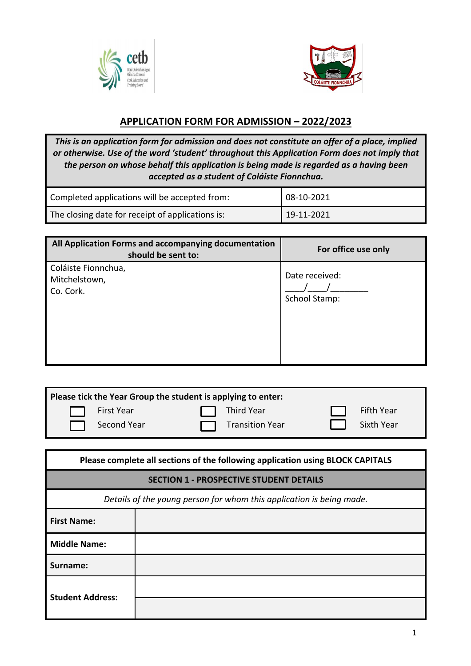



# **APPLICATION FORM FOR ADMISSION – 2022/2023**

*This is an application form for admission and does not constitute an offer of a place, implied or otherwise. Use of the word 'student' throughout this Application Form does not imply that the person on whose behalf this application is being made is regarded as a having been accepted as a student of Coláiste Fionnchua.*

| Completed applications will be accepted from:    | 08-10-2021   |
|--------------------------------------------------|--------------|
| The closing date for receipt of applications is: | $19-11-2021$ |

| All Application Forms and accompanying documentation<br>should be sent to: | For office use only                    |
|----------------------------------------------------------------------------|----------------------------------------|
| Coláiste Fionnchua,<br>Mitchelstown,<br>Co. Cork.                          | Date received:<br><b>School Stamp:</b> |

| Please tick the Year Group the student is applying to enter: |             |  |                     |  |            |
|--------------------------------------------------------------|-------------|--|---------------------|--|------------|
|                                                              | First Year  |  | <b>I</b> Third Year |  | Fifth Year |
|                                                              | Second Year |  | Transition Year     |  | Sixth Year |

| Please complete all sections of the following application using BLOCK CAPITALS |  |  |  |  |
|--------------------------------------------------------------------------------|--|--|--|--|
| <b>SECTION 1 - PROSPECTIVE STUDENT DETAILS</b>                                 |  |  |  |  |
| Details of the young person for whom this application is being made.           |  |  |  |  |
| <b>First Name:</b>                                                             |  |  |  |  |
| <b>Middle Name:</b>                                                            |  |  |  |  |
| Surname:                                                                       |  |  |  |  |
| <b>Student Address:</b>                                                        |  |  |  |  |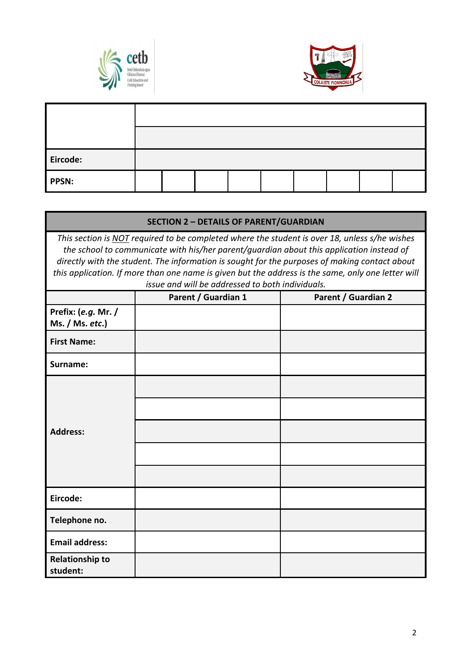



| Eircode:     |  |  |  |  |  |
|--------------|--|--|--|--|--|
| <b>PPSN:</b> |  |  |  |  |  |

| <b>SECTION 2 - DETAILS OF PARENT/GUARDIAN</b> |                                                                                                                                                                                                                                                                                                                                                                                                                                                      |                            |  |
|-----------------------------------------------|------------------------------------------------------------------------------------------------------------------------------------------------------------------------------------------------------------------------------------------------------------------------------------------------------------------------------------------------------------------------------------------------------------------------------------------------------|----------------------------|--|
|                                               | This section is NOT required to be completed where the student is over 18, unless s/he wishes<br>the school to communicate with his/her parent/guardian about this application instead of<br>directly with the student. The information is sought for the purposes of making contact about<br>this application. If more than one name is given but the address is the same, only one letter will<br>issue and will be addressed to both individuals. |                            |  |
|                                               | Parent / Guardian 1                                                                                                                                                                                                                                                                                                                                                                                                                                  | <b>Parent / Guardian 2</b> |  |
| Prefix: (e.g. Mr. /<br>Ms. / Ms. etc.)        |                                                                                                                                                                                                                                                                                                                                                                                                                                                      |                            |  |
| <b>First Name:</b>                            |                                                                                                                                                                                                                                                                                                                                                                                                                                                      |                            |  |
| Surname:                                      |                                                                                                                                                                                                                                                                                                                                                                                                                                                      |                            |  |
| <b>Address:</b>                               |                                                                                                                                                                                                                                                                                                                                                                                                                                                      |                            |  |
| Eircode:                                      |                                                                                                                                                                                                                                                                                                                                                                                                                                                      |                            |  |
| Telephone no.                                 |                                                                                                                                                                                                                                                                                                                                                                                                                                                      |                            |  |
| <b>Email address:</b>                         |                                                                                                                                                                                                                                                                                                                                                                                                                                                      |                            |  |
| <b>Relationship to</b><br>student:            |                                                                                                                                                                                                                                                                                                                                                                                                                                                      |                            |  |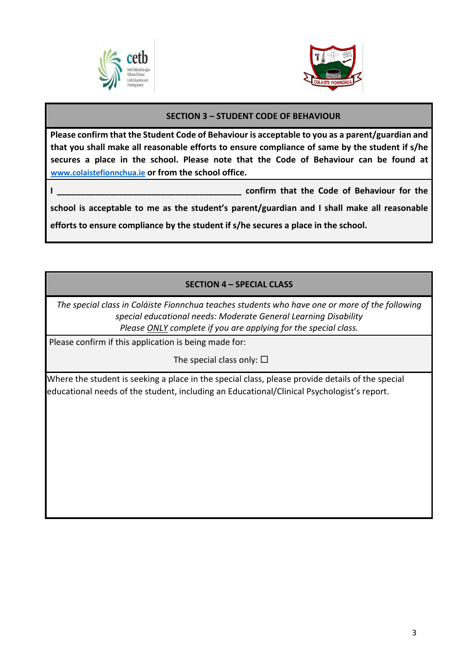



#### **SECTION 3 – STUDENT CODE OF BEHAVIOUR**

**Please confirm that the Student Code of Behaviour is acceptable to you as a parent/guardian and that you shall make all reasonable efforts to ensure compliance of same by the student if s/he secures a place in the school. Please note that the Code of Behaviour can be found at www.colaistefionnchua.ie or from the school office.**

**I \_\_\_\_\_\_\_\_\_\_\_\_\_\_\_\_\_\_\_\_\_\_\_\_\_\_\_\_\_\_\_\_\_\_\_\_\_\_\_ confirm that the Code of Behaviour for the** 

**school is acceptable to me as the student's parent/guardian and I shall make all reasonable efforts to ensure compliance by the student if s/he secures a place in the school.**

## **SECTION 4 – SPECIAL CLASS**

*The special class in Coláiste Fionnchua teaches students who have one or more of the following special educational needs: Moderate General Learning Disability Please ONLY complete if you are applying for the special class.*

Please confirm if this application is being made for:

The special class only:  $\square$ 

Where the student is seeking a place in the special class, please provide details of the special educational needs of the student, including an Educational/Clinical Psychologist's report.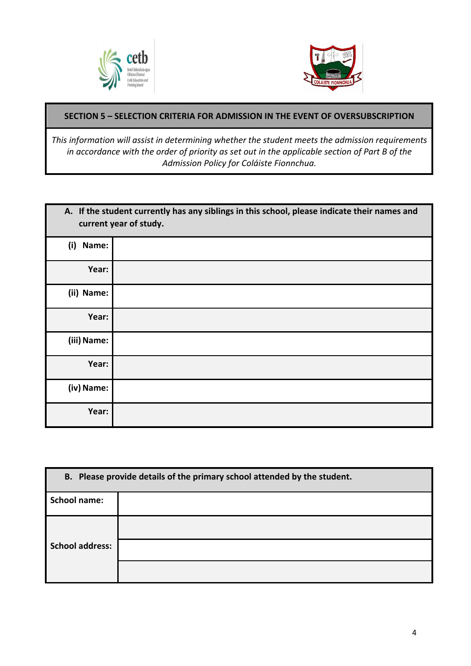



#### **SECTION 5 – SELECTION CRITERIA FOR ADMISSION IN THE EVENT OF OVERSUBSCRIPTION**

*This information will assist in determining whether the student meets the admission requirements in accordance with the order of priority as set out in the applicable section of Part B of the Admission Policy for Coláiste Fionnchua.*

| A. If the student currently has any siblings in this school, please indicate their names and<br>current year of study. |  |  |
|------------------------------------------------------------------------------------------------------------------------|--|--|
| (i)<br>Name:                                                                                                           |  |  |
| Year:                                                                                                                  |  |  |
| (ii) Name:                                                                                                             |  |  |
| Year:                                                                                                                  |  |  |
| (iii) Name:                                                                                                            |  |  |
| Year:                                                                                                                  |  |  |
| (iv) Name:                                                                                                             |  |  |
| Year:                                                                                                                  |  |  |

| B. Please provide details of the primary school attended by the student. |  |  |
|--------------------------------------------------------------------------|--|--|
| <b>School name:</b>                                                      |  |  |
|                                                                          |  |  |
| <b>School address:</b>                                                   |  |  |
|                                                                          |  |  |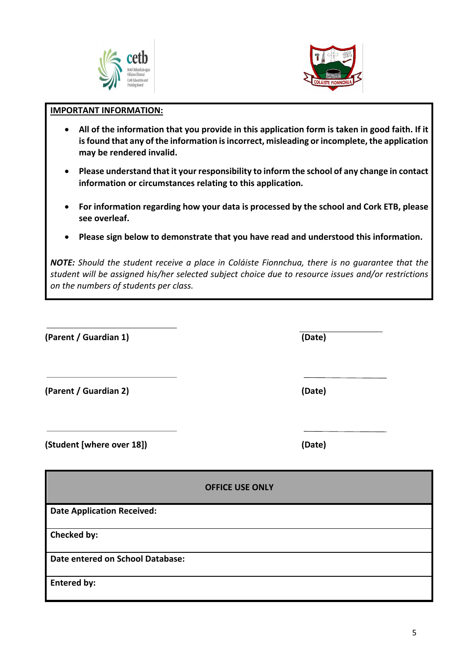5

#### **IMPORTANT INFORMATION:**

- **All of the information that you provide in this application form is taken in good faith. If it isfound that any of the information is incorrect, misleading or incomplete, the application may be rendered invalid.**
- **Please understand that it your responsibility to inform the school of any change in contact information or circumstances relating to this application.**
- **For information regarding how your data is processed by the school and Cork ETB, please see overleaf.**
- **Please sign below to demonstrate that you have read and understood this information.**

*NOTE: Should the student receive a place in Coláiste Fionnchua, there is no guarantee that the student will be assigned his/her selected subject choice due to resource issues and/or restrictions on the numbers of students per class.*

**(Parent / Guardian 1) (Date)**

**(Parent / Guardian 2) (Date)**

**(Student [where over 18]) (Date)**

**OFFICE USE ONLY**

**Date Application Received:** 

**Checked by:**

**Date entered on School Database:**

**Entered by:**